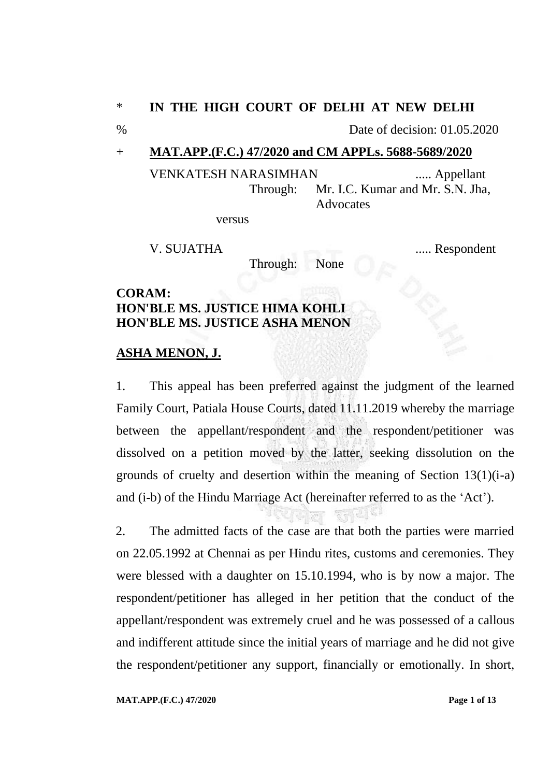## \* **IN THE HIGH COURT OF DELHI AT NEW DELHI**

% Date of decision: 01.05.2020

## + **MAT.APP.(F.C.) 47/2020 and CM APPLs. 5688-5689/2020**

VENKATESH NARASIMHAN ..... Appellant Through: Mr. I.C. Kumar and Mr. S.N. Jha, Advocates

versus

Through: None

V. SUJATHA ..... Respondent

**CORAM: HON'BLE MS. JUSTICE HIMA KOHLI HON'BLE MS. JUSTICE ASHA MENON**

## **ASHA MENON, J.**

1. This appeal has been preferred against the judgment of the learned Family Court, Patiala House Courts, dated 11.11.2019 whereby the marriage between the appellant/respondent and the respondent/petitioner was dissolved on a petition moved by the latter, seeking dissolution on the grounds of cruelty and desertion within the meaning of Section 13(1)(i-a) and (i-b) of the Hindu Marriage Act (hereinafter referred to as the 'Act').

2. The admitted facts of the case are that both the parties were married on 22.05.1992 at Chennai as per Hindu rites, customs and ceremonies. They were blessed with a daughter on 15.10.1994, who is by now a major. The respondent/petitioner has alleged in her petition that the conduct of the appellant/respondent was extremely cruel and he was possessed of a callous and indifferent attitude since the initial years of marriage and he did not give the respondent/petitioner any support, financially or emotionally. In short,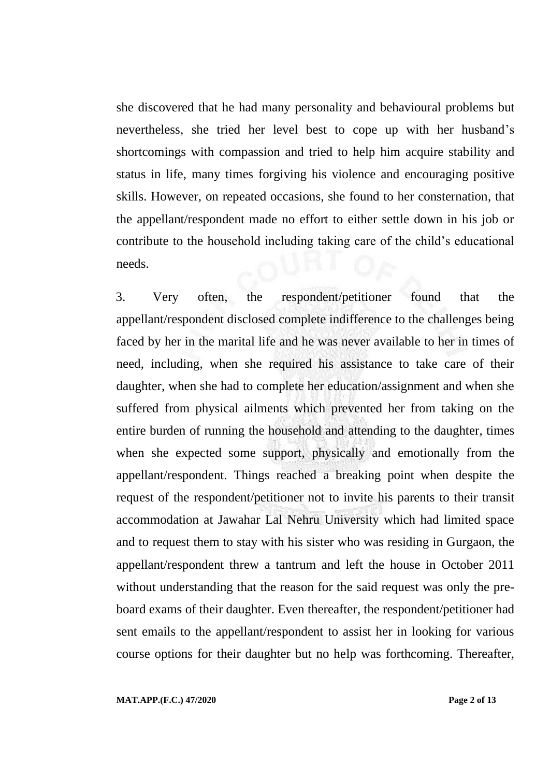she discovered that he had many personality and behavioural problems but nevertheless, she tried her level best to cope up with her husband's shortcomings with compassion and tried to help him acquire stability and status in life, many times forgiving his violence and encouraging positive skills. However, on repeated occasions, she found to her consternation, that the appellant/respondent made no effort to either settle down in his job or contribute to the household including taking care of the child's educational needs.

3. Very often, the respondent/petitioner found that the appellant/respondent disclosed complete indifference to the challenges being faced by her in the marital life and he was never available to her in times of need, including, when she required his assistance to take care of their daughter, when she had to complete her education/assignment and when she suffered from physical ailments which prevented her from taking on the entire burden of running the household and attending to the daughter, times when she expected some support, physically and emotionally from the appellant/respondent. Things reached a breaking point when despite the request of the respondent/petitioner not to invite his parents to their transit accommodation at Jawahar Lal Nehru University which had limited space and to request them to stay with his sister who was residing in Gurgaon, the appellant/respondent threw a tantrum and left the house in October 2011 without understanding that the reason for the said request was only the preboard exams of their daughter. Even thereafter, the respondent/petitioner had sent emails to the appellant/respondent to assist her in looking for various course options for their daughter but no help was forthcoming. Thereafter,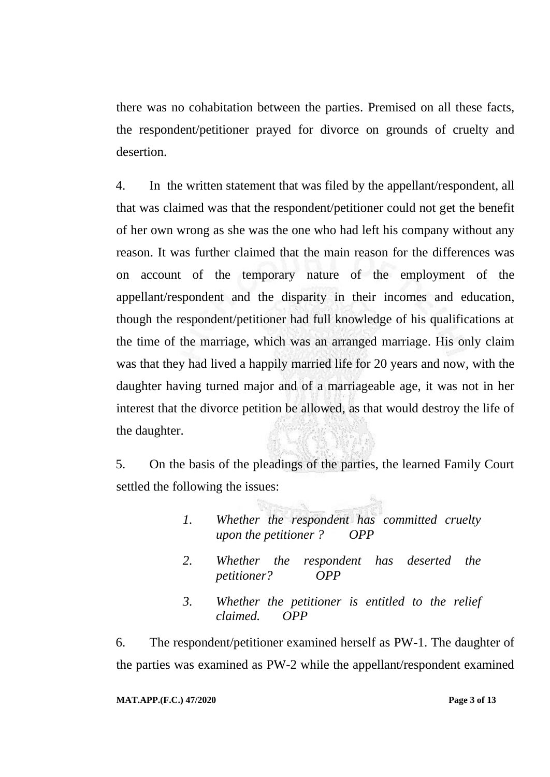there was no cohabitation between the parties. Premised on all these facts, the respondent/petitioner prayed for divorce on grounds of cruelty and desertion.

4. In the written statement that was filed by the appellant/respondent, all that was claimed was that the respondent/petitioner could not get the benefit of her own wrong as she was the one who had left his company without any reason. It was further claimed that the main reason for the differences was on account of the temporary nature of the employment of the appellant/respondent and the disparity in their incomes and education, though the respondent/petitioner had full knowledge of his qualifications at the time of the marriage, which was an arranged marriage. His only claim was that they had lived a happily married life for 20 years and now, with the daughter having turned major and of a marriageable age, it was not in her interest that the divorce petition be allowed, as that would destroy the life of the daughter.

5. On the basis of the pleadings of the parties, the learned Family Court settled the following the issues:

- *1. Whether the respondent has committed cruelty upon the petitioner ? OPP*
- *2. Whether the respondent has deserted the petitioner? OPP*
- *3. Whether the petitioner is entitled to the relief claimed. OPP*

6. The respondent/petitioner examined herself as PW-1. The daughter of the parties was examined as PW-2 while the appellant/respondent examined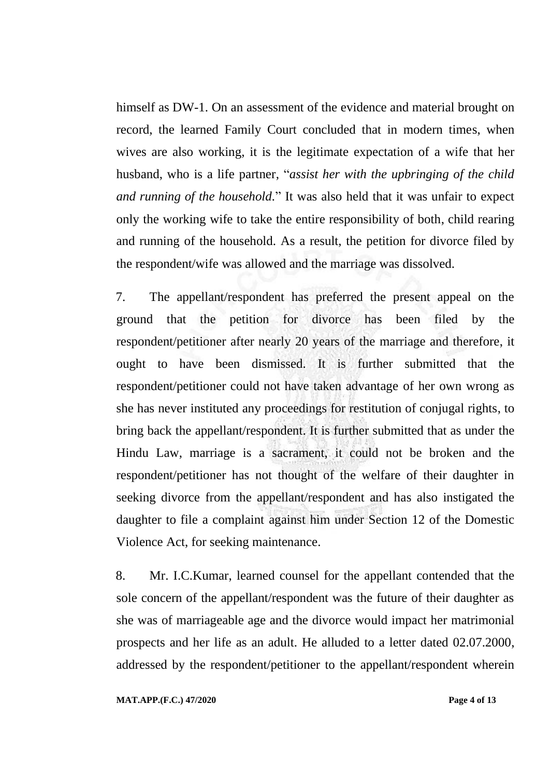himself as DW-1. On an assessment of the evidence and material brought on record, the learned Family Court concluded that in modern times, when wives are also working, it is the legitimate expectation of a wife that her husband, who is a life partner, "*assist her with the upbringing of the child and running of the household.*" It was also held that it was unfair to expect only the working wife to take the entire responsibility of both, child rearing and running of the household. As a result, the petition for divorce filed by the respondent/wife was allowed and the marriage was dissolved.

7. The appellant/respondent has preferred the present appeal on the ground that the petition for divorce has been filed by the respondent/petitioner after nearly 20 years of the marriage and therefore, it ought to have been dismissed. It is further submitted that the respondent/petitioner could not have taken advantage of her own wrong as she has never instituted any proceedings for restitution of conjugal rights, to bring back the appellant/respondent. It is further submitted that as under the Hindu Law, marriage is a sacrament, it could not be broken and the respondent/petitioner has not thought of the welfare of their daughter in seeking divorce from the appellant/respondent and has also instigated the daughter to file a complaint against him under Section 12 of the Domestic Violence Act, for seeking maintenance.

8. Mr. I.C.Kumar, learned counsel for the appellant contended that the sole concern of the appellant/respondent was the future of their daughter as she was of marriageable age and the divorce would impact her matrimonial prospects and her life as an adult. He alluded to a letter dated 02.07.2000, addressed by the respondent/petitioner to the appellant/respondent wherein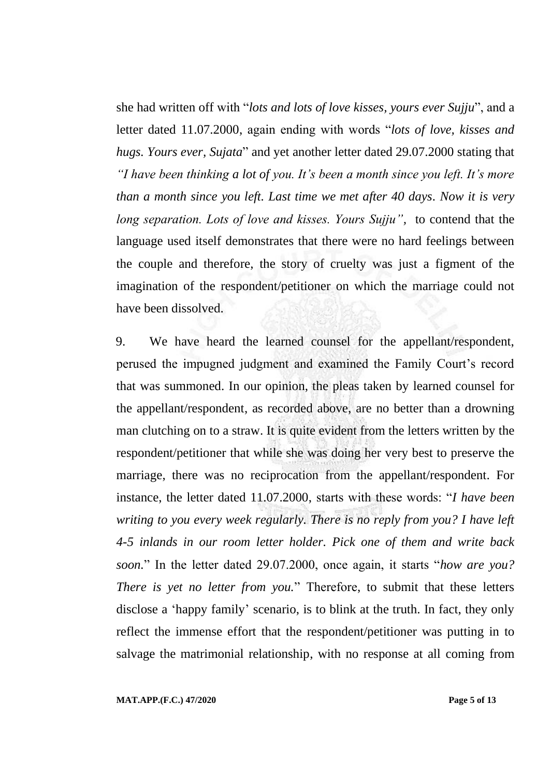she had written off with "*lots and lots of love kisses, yours ever Sujju*", and a letter dated 11.07.2000, again ending with words "*lots of love, kisses and hugs. Yours ever, Sujata*" and yet another letter dated 29.07.2000 stating that *"I have been thinking a lot of you. It's been a month since you left. It's more than a month since you left. Last time we met after 40 days. Now it is very long separation. Lots of love and kisses. Yours Sujju",* to contend that the language used itself demonstrates that there were no hard feelings between the couple and therefore, the story of cruelty was just a figment of the imagination of the respondent/petitioner on which the marriage could not have been dissolved.

9. We have heard the learned counsel for the appellant/respondent, perused the impugned judgment and examined the Family Court's record that was summoned. In our opinion, the pleas taken by learned counsel for the appellant/respondent, as recorded above, are no better than a drowning man clutching on to a straw. It is quite evident from the letters written by the respondent/petitioner that while she was doing her very best to preserve the marriage, there was no reciprocation from the appellant/respondent. For instance, the letter dated 11.07.2000, starts with these words: "*I have been writing to you every week regularly. There is no reply from you? I have left 4-5 inlands in our room letter holder. Pick one of them and write back soon.*" In the letter dated 29.07.2000, once again, it starts "*how are you? There is yet no letter from you.*" Therefore, to submit that these letters disclose a 'happy family' scenario, is to blink at the truth. In fact, they only reflect the immense effort that the respondent/petitioner was putting in to salvage the matrimonial relationship, with no response at all coming from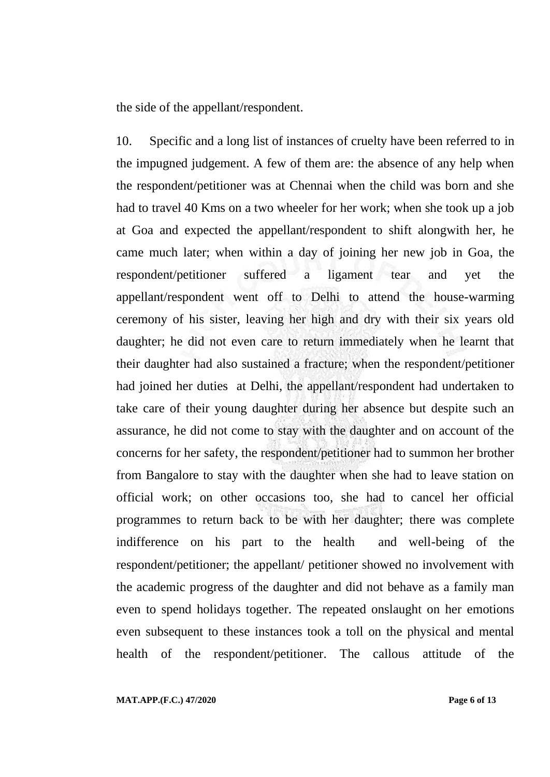the side of the appellant/respondent.

10. Specific and a long list of instances of cruelty have been referred to in the impugned judgement. A few of them are: the absence of any help when the respondent/petitioner was at Chennai when the child was born and she had to travel 40 Kms on a two wheeler for her work; when she took up a job at Goa and expected the appellant/respondent to shift alongwith her, he came much later; when within a day of joining her new job in Goa, the respondent/petitioner suffered a ligament tear and yet the appellant/respondent went off to Delhi to attend the house-warming ceremony of his sister, leaving her high and dry with their six years old daughter; he did not even care to return immediately when he learnt that their daughter had also sustained a fracture; when the respondent/petitioner had joined her duties at Delhi, the appellant/respondent had undertaken to take care of their young daughter during her absence but despite such an assurance, he did not come to stay with the daughter and on account of the concerns for her safety, the respondent/petitioner had to summon her brother from Bangalore to stay with the daughter when she had to leave station on official work; on other occasions too, she had to cancel her official programmes to return back to be with her daughter; there was complete indifference on his part to the health and well-being of the respondent/petitioner; the appellant/ petitioner showed no involvement with the academic progress of the daughter and did not behave as a family man even to spend holidays together. The repeated onslaught on her emotions even subsequent to these instances took a toll on the physical and mental health of the respondent/petitioner. The callous attitude of the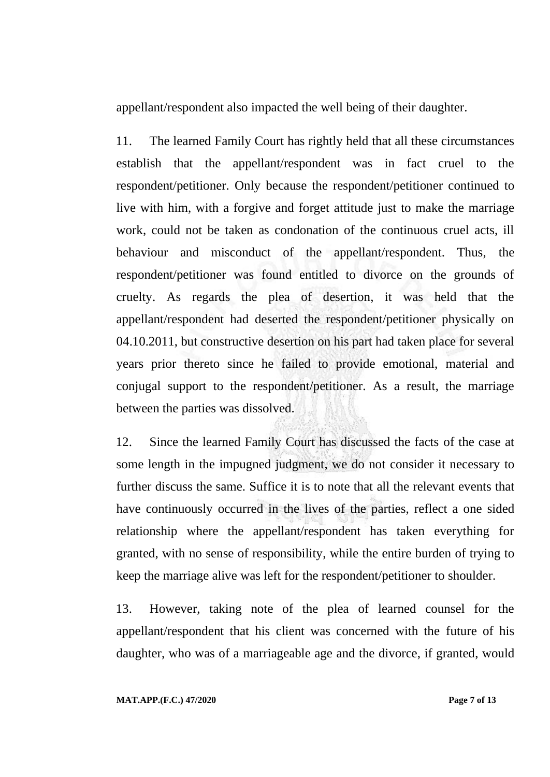appellant/respondent also impacted the well being of their daughter.

11. The learned Family Court has rightly held that all these circumstances establish that the appellant/respondent was in fact cruel to the respondent/petitioner. Only because the respondent/petitioner continued to live with him, with a forgive and forget attitude just to make the marriage work, could not be taken as condonation of the continuous cruel acts, ill behaviour and misconduct of the appellant/respondent. Thus, the respondent/petitioner was found entitled to divorce on the grounds of cruelty. As regards the plea of desertion, it was held that the appellant/respondent had deserted the respondent/petitioner physically on 04.10.2011, but constructive desertion on his part had taken place for several years prior thereto since he failed to provide emotional, material and conjugal support to the respondent/petitioner. As a result, the marriage between the parties was dissolved.

12. Since the learned Family Court has discussed the facts of the case at some length in the impugned judgment, we do not consider it necessary to further discuss the same. Suffice it is to note that all the relevant events that have continuously occurred in the lives of the parties, reflect a one sided relationship where the appellant/respondent has taken everything for granted, with no sense of responsibility, while the entire burden of trying to keep the marriage alive was left for the respondent/petitioner to shoulder.

13. However, taking note of the plea of learned counsel for the appellant/respondent that his client was concerned with the future of his daughter, who was of a marriageable age and the divorce, if granted, would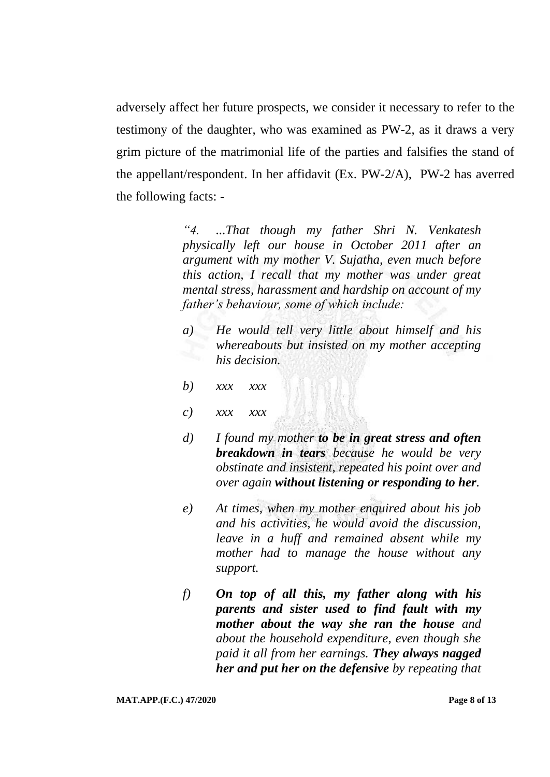adversely affect her future prospects, we consider it necessary to refer to the testimony of the daughter, who was examined as PW-2, as it draws a very grim picture of the matrimonial life of the parties and falsifies the stand of the appellant/respondent. In her affidavit (Ex. PW-2/A), PW-2 has averred the following facts: -

> *"4. ...That though my father Shri N. Venkatesh physically left our house in October 2011 after an argument with my mother V. Sujatha, even much before this action, I recall that my mother was under great mental stress, harassment and hardship on account of my father's behaviour, some of which include:*

- *a) He would tell very little about himself and his whereabouts but insisted on my mother accepting his decision.*
- *b) xxx xxx*
- *c) xxx xxx*
- *d) I found my mother to be in great stress and often breakdown in tears because he would be very obstinate and insistent, repeated his point over and over again without listening or responding to her.*
- *e) At times, when my mother enquired about his job and his activities, he would avoid the discussion, leave in a huff and remained absent while my mother had to manage the house without any support.*
- *f) On top of all this, my father along with his parents and sister used to find fault with my mother about the way she ran the house and about the household expenditure, even though she paid it all from her earnings. They always nagged her and put her on the defensive by repeating that*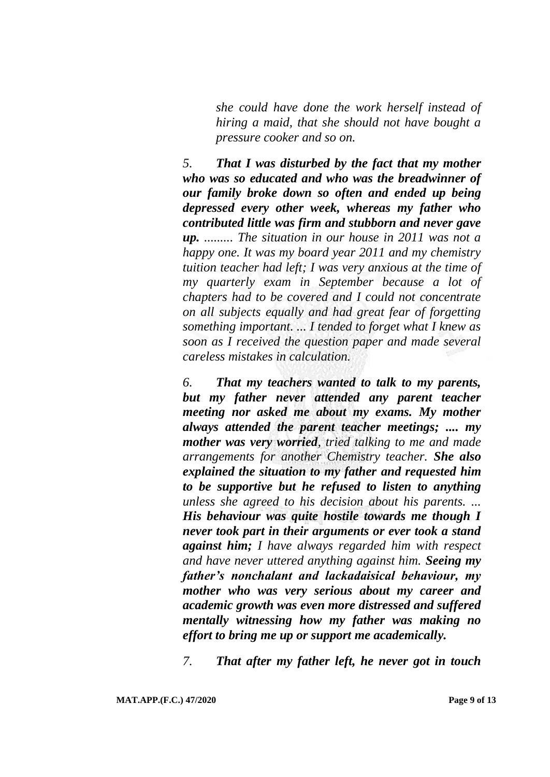*she could have done the work herself instead of hiring a maid, that she should not have bought a pressure cooker and so on.*

*5. That I was disturbed by the fact that my mother who was so educated and who was the breadwinner of our family broke down so often and ended up being depressed every other week, whereas my father who contributed little was firm and stubborn and never gave up. ......... The situation in our house in 2011 was not a happy one. It was my board year 2011 and my chemistry tuition teacher had left; I was very anxious at the time of my quarterly exam in September because a lot of chapters had to be covered and I could not concentrate on all subjects equally and had great fear of forgetting something important. ... I tended to forget what I knew as soon as I received the question paper and made several careless mistakes in calculation.*

*6. That my teachers wanted to talk to my parents, but my father never attended any parent teacher meeting nor asked me about my exams. My mother always attended the parent teacher meetings; .... my mother was very worried, tried talking to me and made arrangements for another Chemistry teacher. She also explained the situation to my father and requested him to be supportive but he refused to listen to anything unless she agreed to his decision about his parents. ... His behaviour was quite hostile towards me though I never took part in their arguments or ever took a stand against him; I have always regarded him with respect and have never uttered anything against him. Seeing my father's nonchalant and lackadaisical behaviour, my mother who was very serious about my career and academic growth was even more distressed and suffered mentally witnessing how my father was making no effort to bring me up or support me academically.*

*7. That after my father left, he never got in touch*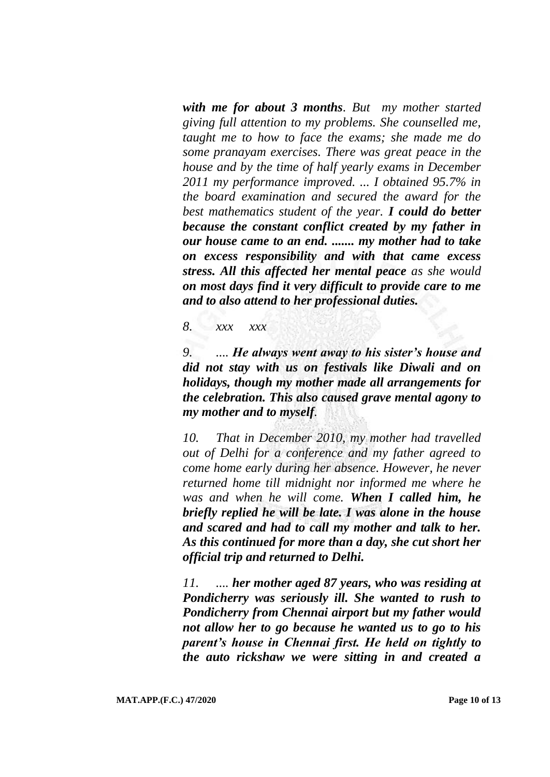*with me for about 3 months. But my mother started giving full attention to my problems. She counselled me, taught me to how to face the exams; she made me do some pranayam exercises. There was great peace in the house and by the time of half yearly exams in December 2011 my performance improved. ... I obtained 95.7% in the board examination and secured the award for the best mathematics student of the year. I could do better because the constant conflict created by my father in our house came to an end. ....... my mother had to take on excess responsibility and with that came excess stress. All this affected her mental peace as she would on most days find it very difficult to provide care to me and to also attend to her professional duties.*

*8. xxx xxx*

*9. .... He always went away to his sister's house and did not stay with us on festivals like Diwali and on holidays, though my mother made all arrangements for the celebration. This also caused grave mental agony to my mother and to myself.*

*10. That in December 2010, my mother had travelled out of Delhi for a conference and my father agreed to come home early during her absence. However, he never returned home till midnight nor informed me where he was and when he will come. When I called him, he briefly replied he will be late. I was alone in the house and scared and had to call my mother and talk to her. As this continued for more than a day, she cut short her official trip and returned to Delhi.*

*11. .... her mother aged 87 years, who was residing at Pondicherry was seriously ill. She wanted to rush to Pondicherry from Chennai airport but my father would not allow her to go because he wanted us to go to his parent's house in Chennai first. He held on tightly to the auto rickshaw we were sitting in and created a*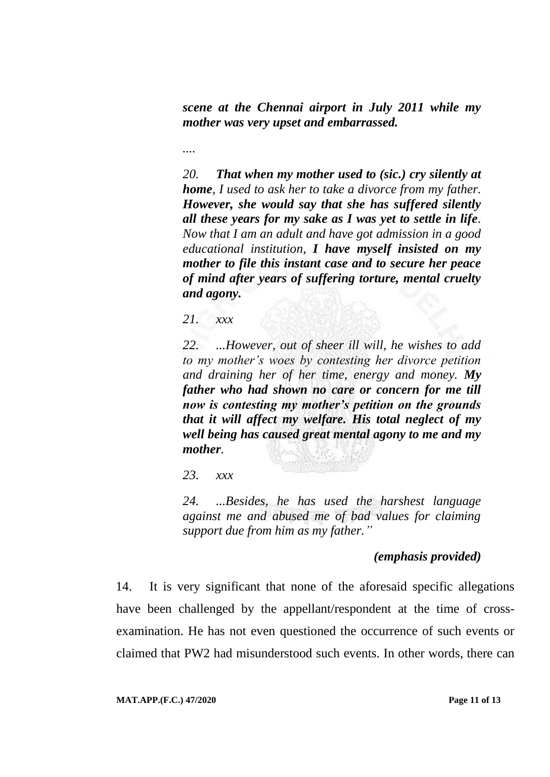*scene at the Chennai airport in July 2011 while my mother was very upset and embarrassed.* 

*....*

*20. That when my mother used to (sic.) cry silently at home, I used to ask her to take a divorce from my father. However, she would say that she has suffered silently all these years for my sake as I was yet to settle in life. Now that I am an adult and have got admission in a good educational institution, I have myself insisted on my mother to file this instant case and to secure her peace of mind after years of suffering torture, mental cruelty and agony.*

*21. xxx*

*22. ...However, out of sheer ill will, he wishes to add to my mother's woes by contesting her divorce petition and draining her of her time, energy and money. My father who had shown no care or concern for me till now is contesting my mother's petition on the grounds that it will affect my welfare. His total neglect of my well being has caused great mental agony to me and my mother.*

*23. xxx*

*24. ...Besides, he has used the harshest language against me and abused me of bad values for claiming support due from him as my father."*

## *(emphasis provided)*

14. It is very significant that none of the aforesaid specific allegations have been challenged by the appellant/respondent at the time of crossexamination. He has not even questioned the occurrence of such events or claimed that PW2 had misunderstood such events. In other words, there can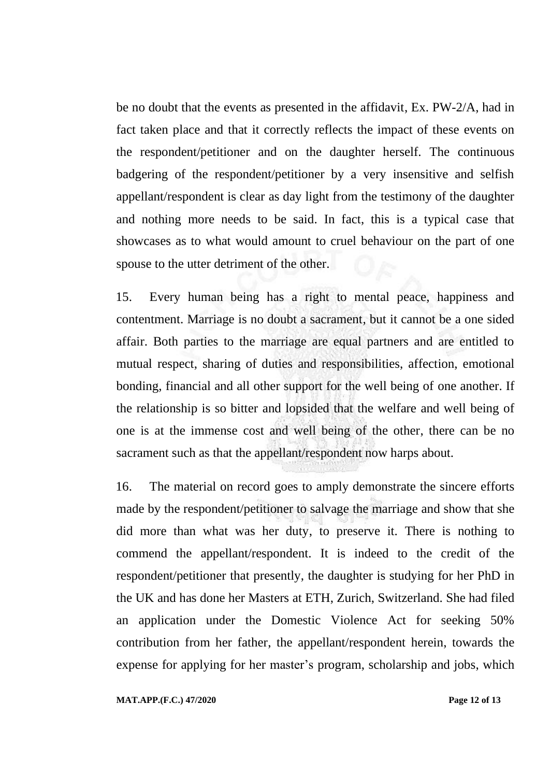be no doubt that the events as presented in the affidavit, Ex. PW-2/A, had in fact taken place and that it correctly reflects the impact of these events on the respondent/petitioner and on the daughter herself. The continuous badgering of the respondent/petitioner by a very insensitive and selfish appellant/respondent is clear as day light from the testimony of the daughter and nothing more needs to be said. In fact, this is a typical case that showcases as to what would amount to cruel behaviour on the part of one spouse to the utter detriment of the other.

15. Every human being has a right to mental peace, happiness and contentment. Marriage is no doubt a sacrament, but it cannot be a one sided affair. Both parties to the marriage are equal partners and are entitled to mutual respect, sharing of duties and responsibilities, affection, emotional bonding, financial and all other support for the well being of one another. If the relationship is so bitter and lopsided that the welfare and well being of one is at the immense cost and well being of the other, there can be no sacrament such as that the appellant/respondent now harps about.

16. The material on record goes to amply demonstrate the sincere efforts made by the respondent/petitioner to salvage the marriage and show that she did more than what was her duty, to preserve it. There is nothing to commend the appellant/respondent. It is indeed to the credit of the respondent/petitioner that presently, the daughter is studying for her PhD in the UK and has done her Masters at ETH, Zurich, Switzerland. She had filed an application under the Domestic Violence Act for seeking 50% contribution from her father, the appellant/respondent herein, towards the expense for applying for her master's program, scholarship and jobs, which